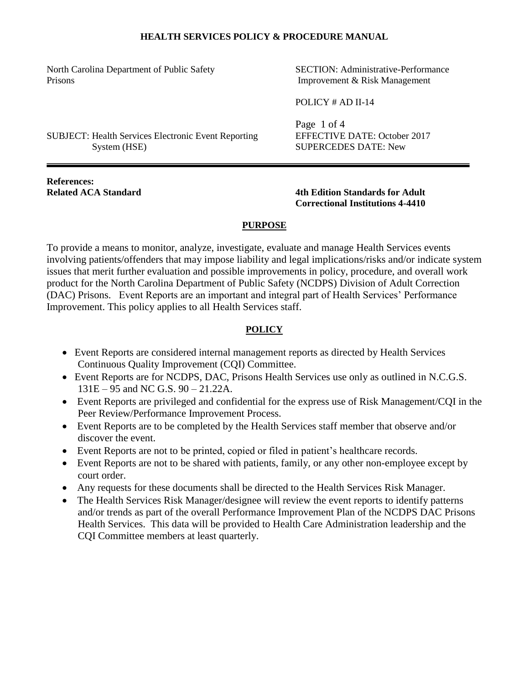North Carolina Department of Public Safety SECTION: Administrative-Performance Prisons Improvement & Risk Management

POLICY # AD II-14

SUBJECT: Health Services Electronic Event Reporting EFFECTIVE DATE: October 2017 System (HSE) SUPERCEDES DATE: New

Page 1 of 4

**References:**

**Related ACA Standard 4th Edition Standards for Adult Correctional Institutions 4-4410**

## **PURPOSE**

To provide a means to monitor, analyze, investigate, evaluate and manage Health Services events involving patients/offenders that may impose liability and legal implications/risks and/or indicate system issues that merit further evaluation and possible improvements in policy, procedure, and overall work product for the North Carolina Department of Public Safety (NCDPS) Division of Adult Correction (DAC) Prisons. Event Reports are an important and integral part of Health Services' Performance Improvement. This policy applies to all Health Services staff.

## **POLICY**

- Event Reports are considered internal management reports as directed by Health Services Continuous Quality Improvement (CQI) Committee.
- Event Reports are for NCDPS, DAC, Prisons Health Services use only as outlined in N.C.G.S. 131E – 95 and NC G.S. 90 – 21.22A.
- Event Reports are privileged and confidential for the express use of Risk Management/CQI in the Peer Review/Performance Improvement Process.
- Event Reports are to be completed by the Health Services staff member that observe and/or discover the event.
- Event Reports are not to be printed, copied or filed in patient's healthcare records.
- Event Reports are not to be shared with patients, family, or any other non-employee except by court order.
- Any requests for these documents shall be directed to the Health Services Risk Manager.
- The Health Services Risk Manager/designee will review the event reports to identify patterns and/or trends as part of the overall Performance Improvement Plan of the NCDPS DAC Prisons Health Services. This data will be provided to Health Care Administration leadership and the CQI Committee members at least quarterly.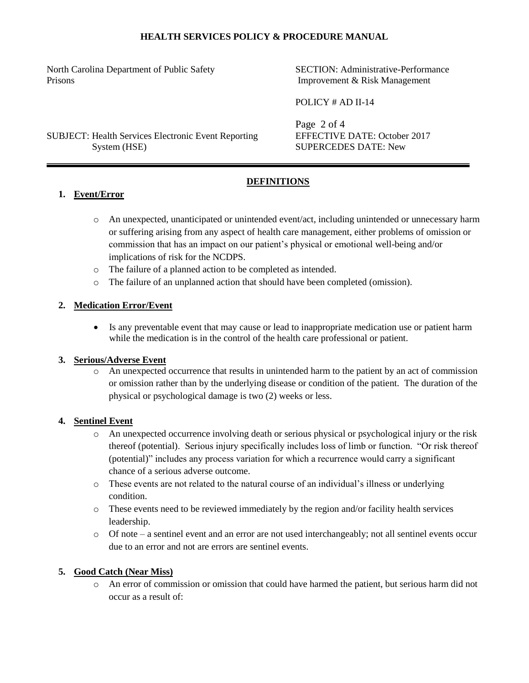North Carolina Department of Public Safety SECTION: Administrative-Performance Prisons Improvement & Risk Management

POLICY # AD II-14

SUBJECT: Health Services Electronic Event Reporting EFFECTIVE DATE: October 2017 System (HSE) SUPERCEDES DATE: New

Page 2 of 4

# **DEFINITIONS**

## **1. Event/Error**

- o An unexpected, unanticipated or unintended event/act, including unintended or unnecessary harm or suffering arising from any aspect of health care management, either problems of omission or commission that has an impact on our patient's physical or emotional well-being and/or implications of risk for the NCDPS.
- o The failure of a planned action to be completed as intended.
- o The failure of an unplanned action that should have been completed (omission).

## **2. Medication Error/Event**

• Is any preventable event that may cause or lead to inappropriate medication use or patient harm while the medication is in the control of the health care professional or patient.

## **3. Serious/Adverse Event**

An unexpected occurrence that results in unintended harm to the patient by an act of commission or omission rather than by the underlying disease or condition of the patient. The duration of the physical or psychological damage is two (2) weeks or less.

## **4. Sentinel Event**

- o An unexpected occurrence involving death or serious physical or psychological injury or the risk thereof (potential). Serious injury specifically includes loss of limb or function. "Or risk thereof (potential)" includes any process variation for which a recurrence would carry a significant chance of a serious adverse outcome.
- o These events are not related to the natural course of an individual's illness or underlying condition.
- o These events need to be reviewed immediately by the region and/or facility health services leadership.
- $\circ$  Of note a sentinel event and an error are not used interchangeably; not all sentinel events occur due to an error and not are errors are sentinel events.

## **5. Good Catch (Near Miss)**

o An error of commission or omission that could have harmed the patient, but serious harm did not occur as a result of: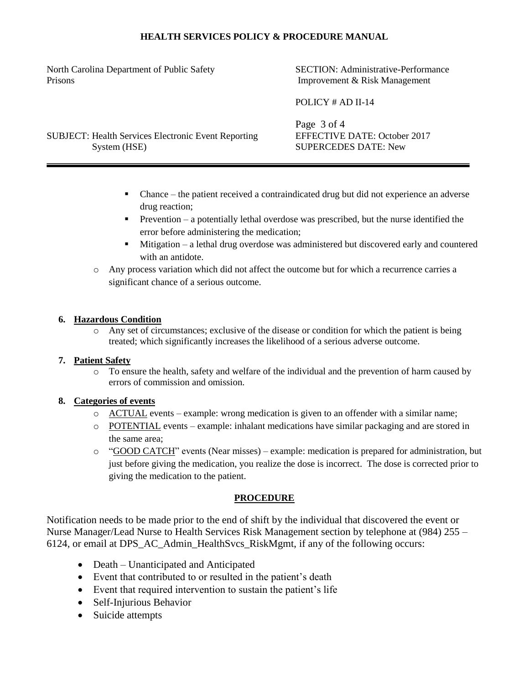North Carolina Department of Public Safety SECTION: Administrative-Performance Prisons Improvement & Risk Management

POLICY # AD II-14

SUBJECT: Health Services Electronic Event Reporting EFFECTIVE DATE: October 2017 System (HSE) SUPERCEDES DATE: New

Page 3 of 4

- Chance the patient received a contraindicated drug but did not experience an adverse drug reaction;
- Prevention a potentially lethal overdose was prescribed, but the nurse identified the error before administering the medication;
- Mitigation a lethal drug overdose was administered but discovered early and countered with an antidote.
- o Any process variation which did not affect the outcome but for which a recurrence carries a significant chance of a serious outcome.

## **6. Hazardous Condition**

o Any set of circumstances; exclusive of the disease or condition for which the patient is being treated; which significantly increases the likelihood of a serious adverse outcome.

## **7. Patient Safety**

o To ensure the health, safety and welfare of the individual and the prevention of harm caused by errors of commission and omission.

## **8. Categories of events**

- o ACTUAL events example: wrong medication is given to an offender with a similar name;
- o POTENTIAL events example: inhalant medications have similar packaging and are stored in the same area;
- o "GOOD CATCH" events (Near misses) example: medication is prepared for administration, but just before giving the medication, you realize the dose is incorrect. The dose is corrected prior to giving the medication to the patient.

## **PROCEDURE**

Notification needs to be made prior to the end of shift by the individual that discovered the event or Nurse Manager/Lead Nurse to Health Services Risk Management section by telephone at (984) 255 – 6124, or email at DPS\_AC\_Admin\_HealthSvcs\_RiskMgmt, if any of the following occurs:

- Death Unanticipated and Anticipated
- Event that contributed to or resulted in the patient's death
- Event that required intervention to sustain the patient's life
- Self-Injurious Behavior
- Suicide attempts